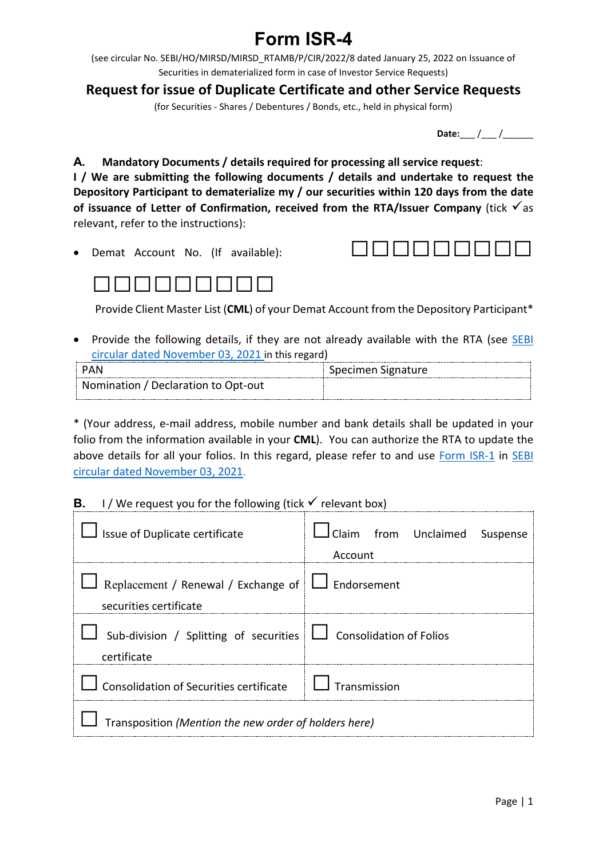## **Form ISR-4**

(see circular No. SEBI/HO/MIRSD/MIRSD\_RTAMB/P/CIR/2022/8 dated January 25, 2022 on Issuance of Securities in dematerialized form in case of Investor Service Requests)

**Request for issue of Duplicate Certificate and other Service Requests**

(for Securities - Shares / Debentures / Bonds, etc., held in physical form)

**Date:** / /

**A. Mandatory Documents / details required for processing all service request**: **I / We are submitting the following documents / details and undertake to request the**

**Depository Participant to dematerialize my / our securities within 120 days from the date** of **issuance** of Letter of Confirmation, received from the RTA/Issuer Company (tick  $\checkmark$  as relevant, refer to the instructions):





Provide Client Master List (**CML**) of your Demat Account from the Depository Participant\*

• Provide the following details, if they are not already available with the RTA (see [SEBI](https://www.sebi.gov.in/legal/circulars/nov-2021/common-and-simplified-norms-for-processing-investor-s-service-request-by-rtas-and-norms-for-furnishing-pan-kyc-details-and-nomination_53787.html) [circular dated November 03, 2021](https://www.sebi.gov.in/legal/circulars/nov-2021/common-and-simplified-norms-for-processing-investor-s-service-request-by-rtas-and-norms-for-furnishing-pan-kyc-details-and-nomination_53787.html) in this regard)

| PAN                                 | Specimen Signature |  |
|-------------------------------------|--------------------|--|
| Nomination / Declaration to Opt-out |                    |  |
|                                     |                    |  |

\* (Your address, e-mail address, mobile number and bank details shall be updated in your folio from the information available in your **CML**). You can authorize the RTA to update the above details for all your folios. In this regard, please refer to and use [Form ISR-1](https://www.sebi.gov.in/sebi_data/commondocs/dec-2021/pdf%20Form%20ISR-1%20(1)_p.pdf) in [SEBI](https://www.sebi.gov.in/legal/circulars/nov-2021/common-and-simplified-norms-for-processing-investor-s-service-request-by-rtas-and-norms-for-furnishing-pan-kyc-details-and-nomination_53787.html) [circular dated November 03, 2021.](https://www.sebi.gov.in/legal/circulars/nov-2021/common-and-simplified-norms-for-processing-investor-s-service-request-by-rtas-and-norms-for-furnishing-pan-kyc-details-and-nomination_53787.html)

## **B.** I/We request you for the following (tick  $\checkmark$  relevant box)

| $\Box$ Issue of Duplicate certificate                                                | I Claim from Unclaimed Suspense<br>Account |  |  |
|--------------------------------------------------------------------------------------|--------------------------------------------|--|--|
| Replacement / Renewal / Exchange of $\Box$ Endorsement<br>securities certificate     |                                            |  |  |
| Sub-division / Splitting of securities $\Box$ Consolidation of Folios<br>certificate |                                            |  |  |
| Consolidation of Securities certificate $\Box$ Transmission                          |                                            |  |  |
| Transposition (Mention the new order of holders here)                                |                                            |  |  |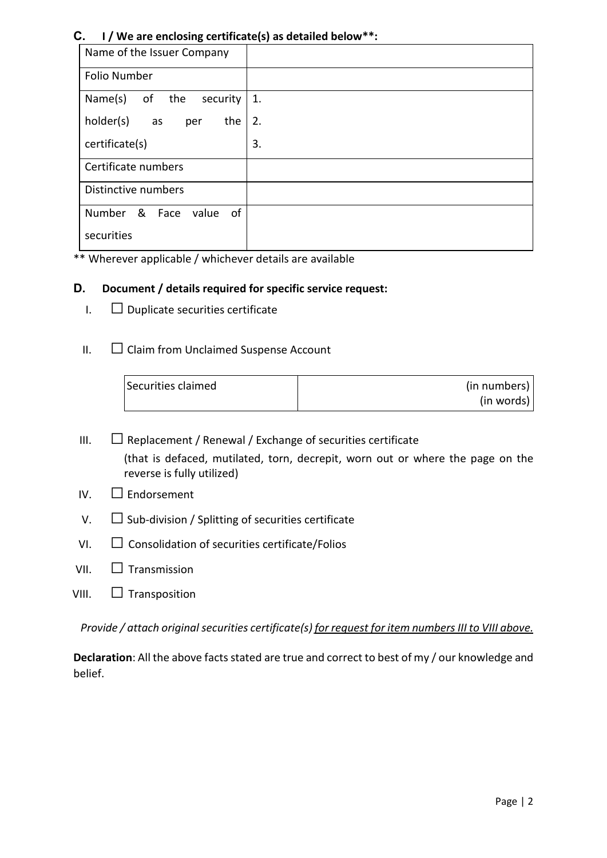## **C. I / We are enclosing certificate(s) as detailed below\*\*:**

| Name of the Issuer Company     |    |
|--------------------------------|----|
| Folio Number                   |    |
| Name(s)<br>of the<br>security  | 1. |
| holder(s)<br>the<br>as<br>per  | 2. |
| certificate(s)                 | 3. |
| Certificate numbers            |    |
| Distinctive numbers            |    |
| Number & Face<br>value<br>- of |    |
| securities                     |    |

\*\* Wherever applicable / whichever details are available

## **D. Document / details required for specific service request:**

- $I. \square$  Duplicate securities certificate
- $II.$   $\Box$  Claim from Unclaimed Suspense Account

| Securities claimed | (in numbers) |
|--------------------|--------------|
|                    | (in words)   |

- III.  $\Box$  Replacement / Renewal / Exchange of securities certificate (that is defaced, mutilated, torn, decrepit, worn out or where the page on the reverse is fully utilized)
- IV.  $\Box$  Endorsement
- $V.$   $\Box$  Sub-division / Splitting of securities certificate
- $VI.$   $\Box$  Consolidation of securities certificate/Folios
- VII.  $\Box$  Transmission
- VIII.  $\Box$  Transposition

*Provide / attach original securities certificate(s) for request for item numbers III to VIII above.*

**Declaration**: All the above facts stated are true and correct to best of my / our knowledge and belief.